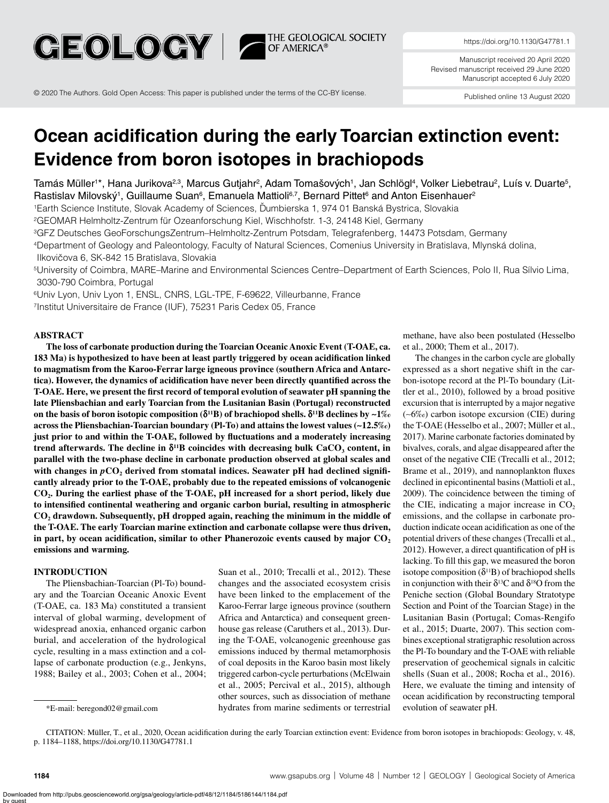

© 2020 The Authors. Gold Open Access: This paper is published under the terms of the CC-BY license.

Manuscript received 20 April 2020 Revised manuscript received 29 June 2020 Manuscript accepted 6 July 2020

Published online 13 August 2020

# **Ocean acidification during the early Toarcian extinction event: Evidence from boron isotopes in brachiopods**

Tamás Müller<sup>1\*</sup>, Hana Jurikova<sup>2,3</sup>, Marcus Gutjahr<sup>2</sup>, Adam Tomašových<sup>1</sup>, Jan Schlögl<sup>4</sup>, Volker Liebetrau<sup>2</sup>, Luís v. Duarte<sup>5</sup>, Rastislav Milovský<sup>1</sup>, Guillaume Suan<sup>6</sup>, Emanuela Mattioli<sup>67</sup>, Bernard Pittet<sup>6</sup> and Anton Eisenhauer<sup>2</sup>

<sup>1</sup>Earth Science Institute, Slovak Academy of Sciences, Ďumbierska 1, 974 01 Banská Bystrica, Slovakia

2GEOMAR Helmholtz-Zentrum für Ozeanforschung Kiel, Wischhofstr. 1-3, 24148 Kiel, Germany

3GFZ Deutsches GeoForschungsZentrum–Helmholtz-Zentrum Potsdam, Telegrafenberg, 14473 Potsdam, Germany

4Department of Geology and Paleontology, Faculty of Natural Sciences, Comenius University in Bratislava, Mlynská dolina,

Ilkovičova 6, SK-842 15 Bratislava, Slovakia

5University of Coimbra, MARE–Marine and Environmental Sciences Centre–Department of Earth Sciences, Polo II, Rua Sílvio Lima, 3030-790 Coimbra, Portugal

6Univ Lyon, Univ Lyon 1, ENSL, CNRS, LGL-TPE, F-69622, Villeurbanne, France

7Institut Universitaire de France (IUF), 75231 Paris Cedex 05, France

### **ABSTRACT**

**The loss of carbonate production during the Toarcian Oceanic Anoxic Event (T-OAE, ca. 183 Ma) is hypothesized to have been at least partly triggered by ocean acidification linked to magmatism from the Karoo-Ferrar large igneous province (southern Africa and Antarctica). However, the dynamics of acidification have never been directly quantified across the T-OAE. Here, we present the first record of temporal evolution of seawater pH spanning the late Pliensbachian and early Toarcian from the Lusitanian Basin (Portugal) reconstructed on the basis of boron isotopic composition (δ11B) of brachiopod shells. δ11B declines by ∼1‰ across the Pliensbachian-Toarcian boundary (Pl-To) and attains the lowest values (∼12.5‰) just prior to and within the T-OAE, followed by fluctuations and a moderately increasing trend afterwards. The decline in**  $\delta^{11}B$  **coincides with decreasing bulk CaCO<sub>3</sub> content, in parallel with the two-phase decline in carbonate production observed at global scales and**  with changes in  $pCO$ , derived from stomatal indices. Seawater pH had declined signifi**cantly already prior to the T-OAE, probably due to the repeated emissions of volcanogenic CO2. During the earliest phase of the T-OAE, pH increased for a short period, likely due to intensified continental weathering and organic carbon burial, resulting in atmospheric CO2 drawdown. Subsequently, pH dropped again, reaching the minimum in the middle of the T-OAE. The early Toarcian marine extinction and carbonate collapse were thus driven,**  in part, by ocean acidification, similar to other Phanerozoic events caused by major CO<sub>2</sub> **emissions and warming.**

#### **INTRODUCTION**

The Pliensbachian-Toarcian (Pl-To) boundary and the Toarcian Oceanic Anoxic Event (T-OAE, ca. 183 Ma) constituted a transient interval of global warming, development of widespread anoxia, enhanced organic carbon burial, and acceleration of the hydrological cycle, resulting in a mass extinction and a collapse of carbonate production (e.g., Jenkyns, 1988; Bailey et al., 2003; Cohen et al., 2004;

Suan et al., 2010; Trecalli et al., 2012). These changes and the associated ecosystem crisis have been linked to the emplacement of the Karoo-Ferrar large igneous province (southern Africa and Antarctica) and consequent greenhouse gas release (Caruthers et al., 2013). During the T-OAE, volcanogenic greenhouse gas emissions induced by thermal metamorphosis of coal deposits in the Karoo basin most likely triggered carbon-cycle perturbations (McElwain et al., 2005; Percival et al., 2015), although other sources, such as dissociation of methane hydrates from marine sediments or terrestrial \*E-mail: beregond02@gmail.com evolution of seawater pH.

methane, have also been postulated (Hesselbo et al., 2000; Them et al., 2017).

The changes in the carbon cycle are globally expressed as a short negative shift in the carbon-isotope record at the Pl-To boundary (Littler et al., 2010), followed by a broad positive excursion that is interrupted by a major negative (∼6‰) carbon isotope excursion (CIE) during the T-OAE (Hesselbo et al., 2007; Müller et al., 2017). Marine carbonate factories dominated by bivalves, corals, and algae disappeared after the onset of the negative CIE (Trecalli et al., 2012; Brame et al., 2019), and nannoplankton fluxes declined in epicontinental basins (Mattioli et al., 2009). The coincidence between the timing of the CIE, indicating a major increase in  $CO<sub>2</sub>$ emissions, and the collapse in carbonate production indicate ocean acidification as one of the potential drivers of these changes (Trecalli et al., 2012). However, a direct quantification of pH is lacking. To fill this gap, we measured the boron isotope composition  $(\delta^{11}B)$  of brachiopod shells in conjunction with their  $\delta^{13}$ C and  $\delta^{18}$ O from the Peniche section (Global Boundary Stratotype Section and Point of the Toarcian Stage) in the Lusitanian Basin (Portugal; Comas-Rengifo et al., 2015; Duarte, 2007). This section combines exceptional stratigraphic resolution across the Pl-To boundary and the T-OAE with reliable preservation of geochemical signals in calcitic shells (Suan et al., 2008; Rocha et al., 2016). Here, we evaluate the timing and intensity of ocean acidification by reconstructing temporal

CITATION: Müller, T., et al., 2020, Ocean acidification during the early Toarcian extinction event: Evidence from boron isotopes in brachiopods: Geology, v. 48, p. 1184–1188, https://doi.org/10.1130/G47781.1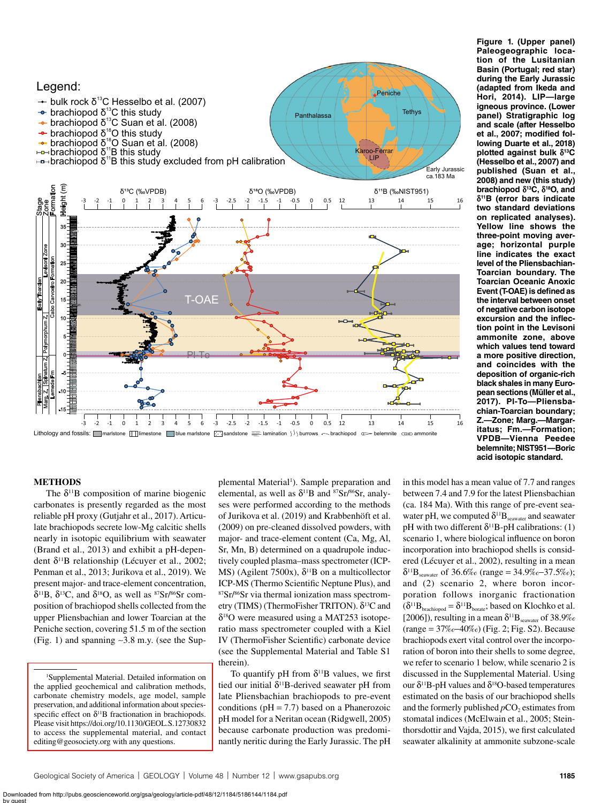

<span id="page-1-0"></span>**Figure 1. (Upper panel) Paleogeographic location of the Lusitanian Basin (Portugal; red star) during the Early Jurassic (adapted from Ikeda and Hori, 2014). LIP—large igneous province. (Lower panel) Stratigraphic log and scale (after Hesselbo et al., 2007; modified following Duarte et al., 2018) plotted against bulk δ13C (Hesselbo et al., 2007) and published (Suan et al., 2008) and new (this study) brachiopod δ13C, δ18O, and δ11B (error bars indicate two standard deviations on replicated analyses). Yellow line shows the three-point moving average; horizontal purple line indicates the exact level of the Pliensbachian-Toarcian boundary. The Toarcian Oceanic Anoxic Event (T-OAE) is defined as the interval between onset of negative carbon isotope excursion and the inflection point in the Levisoni ammonite zone, above which values tend toward a more positive direction, and coincides with the deposition of organic-rich black shales in many European sections (Müller et al., 2017). Pl-To—Pliensbachian-Toarcian boundary; Z.—Zone; Marg.—Margaritatus; Fm.—Formation; VPDB—Vienna Peedee belemnite; NIST951—Boric** 

## **METHODS**

The  $\delta^{11}B$  composition of marine biogenic carbonates is presently regarded as the most reliable pH proxy (Gutjahr et al., 2017). Articulate brachiopods secrete low-Mg calcitic shells nearly in isotopic equilibrium with seawater (Brand et al., 2013) and exhibit a pH-dependent δ<sup>11</sup>B relationship (Lécuyer et al., 2002; Penman et al., 2013; Jurikova et al., 2019). We present major- and trace-element concentration, δ<sup>11</sup>B, δ<sup>13</sup>C, and δ<sup>18</sup>O, as well as <sup>87</sup>Sr/<sup>86</sup>Sr composition of brachiopod shells collected from the upper Pliensbachian and lower Toarcian at the Peniche section, covering 51.5 m of the section [\(Fig. 1\)](#page-1-0) and spanning ∼3.8 m.y. (see the Sup-

plemental Material<sup>[1](#page-1-1)</sup>). Sample preparation and elemental, as well as  $\delta^{11}B$  and  ${}^{87}Sr/{}^{86}Sr$ , analyses were performed according to the methods of Jurikova et al. (2019) and Krabbenhöft et al. (2009) on pre-cleaned dissolved powders, with major- and trace-element content (Ca, Mg, Al, Sr, Mn, B) determined on a quadrupole inductively coupled plasma–mass spectrometer (ICP-MS) (Agilent 7500x),  $\delta^{11}B$  on a multicollector ICP-MS (Thermo Scientific Neptune Plus), and 87Sr/86Sr via thermal ionization mass spectrometry (TIMS) (ThermoFisher TRITON).  $δ<sup>13</sup>C$  and  $\delta^{18}$ O were measured using a MAT253 isotoperatio mass spectrometer coupled with a Kiel IV (ThermoFisher Scientific) carbonate device (see the Supplemental Material and Table S1 therein).

To quantify pH from  $\delta^{11}B$  values, we first tied our initial  $\delta^{11}B$ -derived seawater pH from late Pliensbachian brachiopods to pre-event conditions ( $pH = 7.7$ ) based on a Phanerozoic pH model for a Neritan ocean (Ridgwell, 2005) because carbonate production was predominantly neritic during the Early Jurassic. The pH in this model has a mean value of 7.7 and ranges between 7.4 and 7.9 for the latest Pliensbachian (ca. 184 Ma). With this range of pre-event seawater pH, we computed  $\delta^{11}B_{\text{seawater}}$  and seawater pH with two different  $\delta^{11}B$ -pH calibrations: (1) scenario 1, where biological influence on boron incorporation into brachiopod shells is considered (Lécuyer et al., 2002), resulting in a mean  $\delta^{11}B_{\text{seawater}}$  of 36.6‰ (range = 34.9‰–37.5‰); and (2) scenario 2, where boron incorporation follows inorganic fractionation  $(\delta^{11}B_{\text{branchiopod}} = \delta^{11}B_{\text{borate}};$  based on Klochko et al. [2006]), resulting in a mean  $\delta^{11}B_{\text{seawater}}$  of 38.9‰ (range = 37‰−40‰) ([Fig. 2](#page-2-0); Fig. S2). Because brachiopods exert vital control over the incorporation of boron into their shells to some degree, we refer to scenario 1 below, while scenario 2 is discussed in the Supplemental Material. Using our δ<sup>11</sup>B-pH values and δ<sup>18</sup>O-based temperatures estimated on the basis of our brachiopod shells and the formerly published  $pCO<sub>2</sub>$  estimates from stomatal indices (McElwain et al., 2005; Steinthorsdottir and Vajda, 2015), we first calculated seawater alkalinity at ammonite subzone-scale

<span id="page-1-1"></span><sup>1</sup> Supplemental Material. Detailed information on the applied geochemical and calibration methods, carbonate chemistry models, age model, sample preservation, and additional information about speciesspecific effect on  $\delta$ <sup>11</sup>B fractionation in brachiopods. Please visit<https://doi.org/10.1130/GEOL.S.12730832> [to access the supplemental material, and contact](https://doi.org/10.1130/GEOL.S.12730832)  editing@geosociety.org with any questions.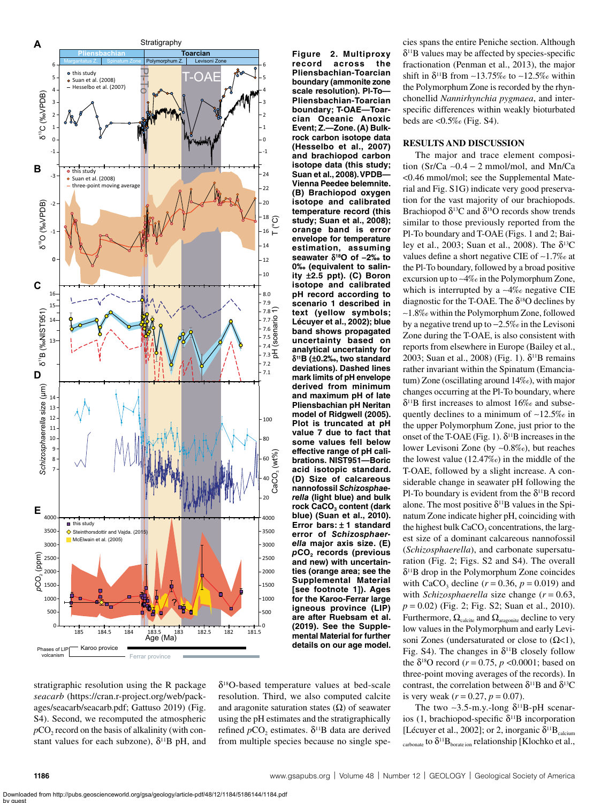

stratigraphic resolution using the R package *seacarb* ([https://cran.r-project.org/web/pack](https://cran.r-project.org/web/packages/seacarb/seacarb.pdf)[ages/seacarb/seacarb.pdf](https://cran.r-project.org/web/packages/seacarb/seacarb.pdf); Gattuso 2019) (Fig. S4). Second, we recomputed the atmospheric  $pCO<sub>2</sub>$  record on the basis of alkalinity (with constant values for each subzone),  $\delta^{11}B$  pH, and

δ18O-based temperature values at bed-scale resolution. Third, we also computed calcite and aragonite saturation states  $(\Omega)$  of seawater using the pH estimates and the stratigraphically refined  $p$ CO<sub>2</sub> estimates.  $δ$ <sup>11</sup>B data are derived from multiple species because no single species spans the entire Peniche section. Although  $\delta$ <sup>11</sup>B values may be affected by species-specific fractionation (Penman et al., 2013), the major shift in δ<sup>11</sup>B from ∼13.75‰ to ~12.5‰ within the Polymorphum Zone is recorded by the rhynchonellid *Nannirhynchia pygmaea*, and interspecific differences within weakly bioturbated beds are  $\langle 0.5\%$  (Fig. S4).

## **RESULTS AND DISCUSSION**

<span id="page-2-0"></span>**Figure 2. Multiproxy record across the Pliensbachian-Toarcian boundary (ammonite zone scale resolution). Pl-To— Pliensbachian-Toarcian boundary; T-OAE—Toarcian Oceanic Anoxic Event; Z.—Zone. (A) Bulkrock carbon isotope data (Hesselbo et al., 2007) and brachiopod carbon isotope data (this study; Suan et al., 2008). VPDB— Vienna Peedee belemnite. (B) Brachiopod oxygen isotope and calibrated temperature record (this study; Suan et al., 2008); orange band is error envelope for temperature estimation, assuming seawater δ18O of −2‰ to 0‰ (equivalent to salinity ±2.5 ppt). (C) Boron isotope and calibrated pH record according to scenario 1 described in text (yellow symbols; Lécuyer et al., 2002); blue band shows propagated uncertainty based on analytical uncertainty for δ11B (±0.2‰, two standard deviations). Dashed lines mark limits of pH envelope derived from minimum and maximum pH of late Pliensbachian pH Neritan model of Ridgwell (2005). Plot is truncated at pH value 7 due to fact that some values fell below effective range of pH calibrations. NIST951—Boric acid isotopic standard. (D) Size of calcareous nannofossil** *Schizosphaerella* **(light blue) and bulk**  rock CaCO<sub>3</sub> content (dark **blue) (Suan et al., 2010). Error bars: ± 1 standard error of** *Schizosphaerella* **major axis size. (E)**  *p***CO2 records (previous and new) with uncertainties (orange area; see the Supplemental Material [see footnote 1]). Ages for the Karoo-Ferrar large igneous province (LIP) are after Ruebsam et al. (2019). See the Supplemental Material for further** 

The major and trace element composition (Sr/Ca ∼0.4 − 2 mmol/mol, and Mn/Ca <0.46 mmol/mol; see the Supplemental Material and Fig. S1G) indicate very good preservation for the vast majority of our brachiopods. Brachiopod  $\delta^{13}$ C and  $\delta^{18}$ O records show trends similar to those previously reported from the Pl-To boundary and T-OAE ([Figs. 1](#page-1-0) and [2](#page-2-0); Bailey et al., 2003; Suan et al., 2008). The  $\delta^{13}C$ values define a short negative CIE of ∼1.7‰ at the Pl-To boundary, followed by a broad positive excursion up to ∼4‰ in the Polymorphum Zone, which is interrupted by a ∼4‰ negative CIE diagnostic for the T-OAE. The  $\delta^{18}$ O declines by ∼1.8‰ within the Polymorphum Zone, followed by a negative trend up to −2.5‰ in the Levisoni Zone during the T-OAE, is also consistent with reports from elsewhere in Europe (Bailey et al., 2003; Suan et al., 2008) [\(Fig. 1\)](#page-1-0).  $\delta^{11}B$  remains rather invariant within the Spinatum (Emanciatum) Zone (oscillating around 14‰), with major changes occurring at the Pl-To boundary, where  $\delta$ <sup>11</sup>B first increases to almost 16‰ and subsequently declines to a minimum of ∼12.5‰ in the upper Polymorphum Zone, just prior to the onset of the T-OAE [\(Fig. 1](#page-1-0)).  $\delta^{11}B$  increases in the lower Levisoni Zone (by ∼0.8‰), but reaches the lowest value (12.47‰) in the middle of the T-OAE, followed by a slight increase. A considerable change in seawater pH following the Pl-To boundary is evident from the  $\delta^{11}B$  record alone. The most positive  $\delta^{11}B$  values in the Spinatum Zone indicate higher pH, coinciding with the highest bulk  $CaCO<sub>3</sub>$  concentrations, the largest size of a dominant calcareous nannofossil (*Schizosphaerella*), and carbonate supersaturation ([Fig. 2](#page-2-0); Figs. S2 and S4). The overall  $\delta$ <sup>11</sup>B drop in the Polymorphum Zone coincides with CaCO<sub>3</sub> decline  $(r = 0.36, p = 0.019)$  and with *Schizosphaerella* size change (*r* = 0.63, *p* = 0.02) [\(Fig. 2](#page-2-0); Fig. S2; Suan et al., 2010). Furthermore,  $\Omega_{\text{calcite}}$  and  $\Omega_{\text{aragonite}}$  decline to very low values in the Polymorphum and early Levisoni Zones (undersaturated or close to  $(Ω < 1)$ , Fig. S4). The changes in  $\delta^{11}B$  closely follow the δ<sup>18</sup>O record ( $r = 0.75$ ,  $p < 0.0001$ ; based on three-point moving averages of the records). In contrast, the correlation between  $\delta^{11}B$  and  $\delta^{13}C$ is very weak  $(r = 0.27, p = 0.07)$ .

The two ~3.5-m.y.-long  $\delta^{11}B$ -pH scenarios (1, brachiopod-specific  $\delta^{11}B$  incorporation [Lécuyer et al., 2002]; or 2, inorganic  $\delta^{11}B_{\text{calcium}}$ carbonate to  $\delta^{11}B_{\text{border}}$  relationship [Klochko et al.,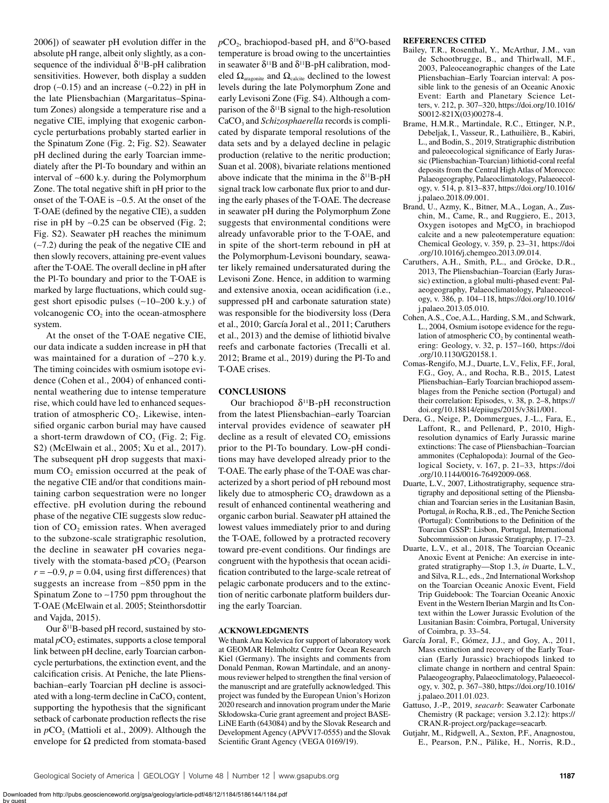2006]) of seawater pH evolution differ in the absolute pH range, albeit only slightly, as a consequence of the individual  $\delta^{11}B$ -pH calibration sensitivities. However, both display a sudden drop (∼0.15) and an increase (∼0.22) in pH in the late Pliensbachian (Margaritatus–Spinatum Zones) alongside a temperature rise and a negative CIE, implying that exogenic carboncycle perturbations probably started earlier in the Spinatum Zone ([Fig. 2](#page-2-0); Fig. S2). Seawater pH declined during the early Toarcian immediately after the Pl-To boundary and within an interval of ∼600 k.y. during the Polymorphum Zone. The total negative shift in pH prior to the onset of the T-OAE is ∼0.5. At the onset of the T-OAE (defined by the negative CIE), a sudden rise in pH by ∼0.25 can be observed [\(Fig. 2](#page-2-0); Fig. S2). Seawater pH reaches the minimum (∼7.2) during the peak of the negative CIE and then slowly recovers, attaining pre-event values after the T-OAE. The overall decline in pH after the Pl-To boundary and prior to the T-OAE is marked by large fluctuations, which could suggest short episodic pulses (∼10–200 k.y.) of volcanogenic  $CO<sub>2</sub>$  into the ocean-atmosphere system.

At the onset of the T-OAE negative CIE, our data indicate a sudden increase in pH that was maintained for a duration of ∼270 k.y. The timing coincides with osmium isotope evidence (Cohen et al., 2004) of enhanced continental weathering due to intense temperature rise, which could have led to enhanced sequestration of atmospheric  $CO<sub>2</sub>$ . Likewise, intensified organic carbon burial may have caused a short-term drawdown of  $CO<sub>2</sub>$  ([Fig. 2](#page-2-0); Fig. S2) (McElwain et al., 2005; Xu et al., 2017). The subsequent pH drop suggests that maximum CO<sub>2</sub> emission occurred at the peak of the negative CIE and/or that conditions maintaining carbon sequestration were no longer effective. pH evolution during the rebound phase of the negative CIE suggests slow reduction of CO<sub>2</sub> emission rates. When averaged to the subzone-scale stratigraphic resolution, the decline in seawater pH covaries negatively with the stomata-based  $pCO<sub>2</sub>$  (Pearson  $r = -0.9$ ,  $p = 0.04$ , using first differences) that suggests an increase from ∼850 ppm in the Spinatum Zone to ∼1750 ppm throughout the T-OAE (McElwain et al. 2005; Steinthorsdottir and Vajda, 2015).

Our  $\delta$ <sup>11</sup>B-based pH record, sustained by stomatal  $pCO$ , estimates, supports a close temporal link between pH decline, early Toarcian carboncycle perturbations, the extinction event, and the calcification crisis. At Peniche, the late Pliensbachian–early Toarcian pH decline is associated with a long-term decline in  $CaCO<sub>3</sub>$  content, supporting the hypothesis that the significant setback of carbonate production reflects the rise in  $pCO<sub>2</sub>$  (Mattioli et al., 2009). Although the envelope for  $\Omega$  predicted from stomata-based  $pCO<sub>2</sub>$ , brachiopod-based pH, and  $\delta^{18}O$ -based temperature is broad owing to the uncertainties in seawater  $\delta^{11}B$  and  $\delta^{11}B$ -pH calibration, modeled  $\Omega_{\text{aragonite}}$  and  $\Omega_{\text{calcite}}$  declined to the lowest levels during the late Polymorphum Zone and early Levisoni Zone (Fig. S4). Although a comparison of the  $\delta^{11}B$  signal to the high-resolution CaCO<sub>3</sub> and *Schizosphaerella* records is complicated by disparate temporal resolutions of the data sets and by a delayed decline in pelagic production (relative to the neritic production; Suan et al. 2008), bivariate relations mentioned above indicate that the minima in the  $\delta^{11}B$ -pH signal track low carbonate flux prior to and during the early phases of the T-OAE. The decrease in seawater pH during the Polymorphum Zone suggests that environmental conditions were already unfavorable prior to the T-OAE, and in spite of the short-term rebound in pH at the Polymorphum-Levisoni boundary, seawater likely remained undersaturated during the Levisoni Zone. Hence, in addition to warming and extensive anoxia, ocean acidification (i.e., suppressed pH and carbonate saturation state) was responsible for the biodiversity loss (Dera et al., 2010; García Joral et al., 2011; Caruthers et al., 2013) and the demise of lithiotid bivalve reefs and carbonate factories (Trecalli et al. 2012; Brame et al., 2019) during the Pl-To and T-OAE crises.

## **CONCLUSIONS**

Our brachiopod  $δ<sup>11</sup>B-pH$  reconstruction from the latest Pliensbachian–early Toarcian interval provides evidence of seawater pH decline as a result of elevated  $CO<sub>2</sub>$  emissions prior to the Pl-To boundary. Low-pH conditions may have developed already prior to the T-OAE. The early phase of the T-OAE was characterized by a short period of pH rebound most likely due to atmospheric  $CO<sub>2</sub>$  drawdown as a result of enhanced continental weathering and organic carbon burial. Seawater pH attained the lowest values immediately prior to and during the T-OAE, followed by a protracted recovery toward pre-event conditions. Our findings are congruent with the hypothesis that ocean acidification contributed to the large-scale retreat of pelagic carbonate producers and to the extinction of neritic carbonate platform builders during the early Toarcian.

#### **ACKNOWLEDGMENTS**

We thank Ana Kolevica for support of laboratory work at GEOMAR Helmholtz Centre for Ocean Research Kiel (Germany). The insights and comments from Donald Penman, Rowan Martindale, and an anonymous reviewer helped to strengthen the final version of the manuscript and are gratefully acknowledged. This project was funded by the European Union's Horizon 2020 research and innovation program under the Marie Skłodowska-Curie grant agreement and project BASE-LiNE Earth (643084) and by the Slovak Research and Development Agency (APVV17-0555) and the Slovak Scientific Grant Agency (VEGA 0169/19).

## **REFERENCES CITED**

- Bailey, T.R., Rosenthal, Y., McArthur, J.M., van de Schootbrugge, B., and Thirlwall, M.F., 2003, Paleoceanographic changes of the Late Pliensbachian–Early Toarcian interval: A possible link to the genesis of an Oceanic Anoxic Event: Earth and Planetary Science Letters, v. 212, p. 307–320, [https://doi.org/10.1016/](https://doi.org/10.1016/S0012-821X(03)00278-4) [S0012-821X\(03\)00278-4.](https://doi.org/10.1016/S0012-821X(03)00278-4)
- Brame, H.M.R., Martindale, R.C., Ettinger, N.P., Debeljak, I., Vasseur, R., Lathuilière, B., Kabiri, L., and Bodin, S., 2019, Stratigraphic distribution and paleoecological significance of Early Jurassic (Pliensbachian-Toarcian) lithiotid-coral reefal deposits from the Central High Atlas of Morocco: Palaeogeography, Palaeoclimatology, Palaeoecology, v. 514, p. 813–837, [https://doi.org/10.1016/](https://doi.org/10.1016/j.palaeo.2018.09.001) [j.palaeo.2018.09.001](https://doi.org/10.1016/j.palaeo.2018.09.001).
- Brand, U., Azmy, K., Bitner, M.A., Logan, A., Zuschin, M., Came, R., and Ruggiero, E., 2013, Oxygen isotopes and  $MgCO<sub>3</sub>$  in brachiopod calcite and a new paleotemperature equation: Chemical Geology, v. 359, p. 23–31, [https://doi](https://doi.org/10.1016/j.chemgeo.2013.09.014) [.org/10.1016/j.chemgeo.2013.09.014](https://doi.org/10.1016/j.chemgeo.2013.09.014).
- Caruthers, A.H., Smith, P.L., and Gröcke, D.R., 2013, The Pliensbachian–Toarcian (Early Jurassic) extinction, a global multi-phased event: Palaeogeography, Palaeoclimatology, Palaeoecology, v. 386, p. 104–118, [https://doi.org/10.1016/](https://doi.org/10.1016/j.palaeo.2013.05.010) [j.palaeo.2013.05.010](https://doi.org/10.1016/j.palaeo.2013.05.010).
- Cohen, A.S., Coe, A.L., Harding, S.M., and Schwark, L., 2004, Osmium isotope evidence for the regulation of atmospheric  $CO<sub>2</sub>$  by continental weathering: Geology, v. 32, p. 157–160, [https://doi](https://doi.org/10.1130/G20158.1) [.org/10.1130/G20158.1.](https://doi.org/10.1130/G20158.1)
- Comas-Rengifo, M.J., Duarte, L.V., Felix, F.F., Joral, F.G., Goy, A., and Rocha, R.B., 2015, Latest Pliensbachian–Early Toarcian brachiopod assemblages from the Peniche section (Portugal) and their correlation: Episodes, v. 38, p. 2–8, [https://](https://doi.org/10.18814/epiiugs/2015/v38i1/001) [doi.org/10.18814/epiiugs/2015/v38i1/001](https://doi.org/10.18814/epiiugs/2015/v38i1/001).
- Dera, G., Neige, P., Dommergues, J.-L., Fara, E., Laffont, R., and Pellenard, P., 2010, Highresolution dynamics of Early Jurassic marine extinctions: The case of Pliensbachian–Toarcian ammonites (Cephalopoda): Journal of the Geological Society, v. 167, p. 21–33, [https://doi](https://doi.org/10.1144/0016-76492009-068) [.org/10.1144/0016-76492009-068](https://doi.org/10.1144/0016-76492009-068).
- Duarte, L.V., 2007, Lithostratigraphy, sequence stratigraphy and depositional setting of the Pliensbachian and Toarcian series in the Lusitanian Basin, Portugal, *in* Rocha, R.B., ed., The Peniche Section (Portugal): Contributions to the Definition of the Toarcian GSSP: Lisbon, Portugal, International Subcommission on Jurassic Stratigraphy, p. 17–23.
- Duarte, L.V., et al., 2018, The Toarcian Oceanic Anoxic Event at Peniche: An exercise in integrated stratigraphy—Stop 1.3, *in* Duarte, L.V., and Silva, R.L., eds., 2nd International Workshop on the Toarcian Oceanic Anoxic Event, Field Trip Guidebook: The Toarcian Oceanic Anoxic Event in the Western Iberian Margin and Its Context within the Lower Jurassic Evolution of the Lusitanian Basin: Coimbra, Portugal, University of Coimbra, p. 33–54.
- García Joral, F., Gómez, J.J., and Goy, A., 2011, Mass extinction and recovery of the Early Toarcian (Early Jurassic) brachiopods linked to climate change in northern and central Spain: Palaeogeography, Palaeoclimatology, Palaeoecology, v. 302, p. 367–380, [https://doi.org/10.1016/](https://doi.org/10.1016/j.palaeo.2011.01.023) [j.palaeo.2011.01.023](https://doi.org/10.1016/j.palaeo.2011.01.023).
- Gattuso, J.-P., 2019, *seacarb*: Seawater Carbonate Chemistry (R package; version 3.2.12): [https://](https://CRAN.R-project.org/package=seacarb) [CRAN.R-project.org/package](https://CRAN.R-project.org/package=seacarb)=seacarb.
- Gutjahr, M., Ridgwell, A., Sexton, P.F., Anagnostou, E., Pearson, P.N., Pälike, H., Norris, R.D.,